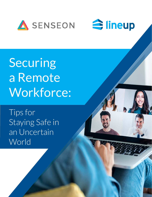



Securing a Remote Workforce:

Tips for Staying Safe in an Uncertain World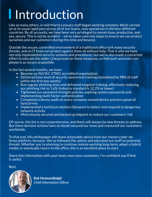# **I** Introduction

Like so many others, in mid-March Lineup's staff began working remotely. Work carried on at its usual rapid pace across all of our teams, now spread out in thirteen different countries. By all accounts, we have been very privileged to remain busy, productive, and yes, secure. This is not by accident – we've taken concrete steps to ensure we can protect ourselves and our customers during this time and beyond.

Outside the secure, controlled environment of a traditional office lurk many security threats, and no IT team can protect against them all without help. That is why we have not only implemented security systems and procedures, but we've also made a concerted effort to educate the wider Lineup team on these measures, so that each and every employee is as secure as possible.

In the last several months, we have:

- Become an ISO/IEC 27001 accredited organization
- Delivered base level of security awareness training (completed by 98% of staff within the first two weeks)
- Run regular phishing tests and delivered targeted training, effectively reducing our phishing risk to 1.6% (industry standard is 12.2% or lower)
- Tightened our password strength policies, expiring system passwords and implementing multi-factor authentication
- Completed a device audit on every company-owned device and encrypted all hard drives
- Implemented a technical solution (Senseon) to detect and respond to dangerous network activity
- Meticulously secured and backed up Adpoint to reduce our customers' risk

Of course, this list is not comprehensive, and there will always be new threats to address. But these decisive actions have no doubt secured our team and reassured our customers worldwide.

To that end, this whitepaper will share actionable advice from our chosen cyber-defense platform, Senseon. We've followed this advice and educated our staff on potential threats. Whether you're planning to continue remote working long-term, adopt a hybrid model, or eventually return to the office, this is an excellent place to start.

Share this information with your team, even your customers. I'm confident you'll find it useful.

Best,



*Rob Hesmondhalgh Chief Information Officer*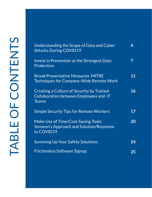| Understanding the Scope of Data and Cyber<br><b>Attacks During COVID19</b>                          | 4  |
|-----------------------------------------------------------------------------------------------------|----|
| Invest in Prevention as the Strongest Data<br>Protection                                            | 7  |
| <b>Broad Preventative Measures: MITRE</b><br>Techniques for Company-Wide Remote Work                | 11 |
| Creating a Culture of Security by Trained<br>Collaboration between Employees and IT<br><b>Teams</b> | 16 |
| <b>Simple Security Tips for Remote Workers</b>                                                      | 17 |
| Make Use of Time/Cost-Saving Tools:<br>Senseon's Approach and Solution/Response<br>to COVID19       | 20 |
| <b>Summing Up Your Safety Solutions</b>                                                             | 24 |
| <b>Frictionless Software Signup</b>                                                                 | 25 |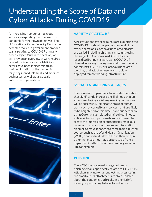### <span id="page-3-0"></span>Understanding the Scope of Data and Cyber Attacks During COVID19

An increasing number of malicious actors are exploiting the Coronavirus pandemic for their own objectives. The UK's National Cyber Security Centre has detected more UK government branded scams relating to COVID-19 than any other subject. Within this section, we will provide an overview of Coronavirus related malicious activity. Malicious actors have been indiscriminate in their exploitation of the pandemic, targeting individuals small and medium businesses, as well as large scale enterprise organisations.



#### **VARIETY OF ATTACKS**

APT groups and cyber criminals are exploiting the COVID-19 pandemic as part of their malicious cyber operations. Coronavirus related attacks are varied, including phishing campaigns (using the subject of Coronavirus/COVID-19 as a lure); distributing malware using COVID-19 themed lures; registering new malicious domains containing COVID-19 or Coronavirus related wording; and attacking newly and rapidly deployed remote working infrastructure.

#### **SOCIAL ENGINEERING ATTACKS**

The Coronavirus pandemic has created conditions that significantly increase the likelihood that an attack employing social engineering techniques will be successful. Taking advantage of human traits such as curiosity and concern that are likely to be heightened at this time, malicious actors are using Coronavirus-related email subject lines to entice victims to open emails and click links. To create the impression of authenticity, malicious cyber actors may spoof the sender information in an email to make it appear to come from a trusted source, such as the World Health Organisation (WHO) or an individual with 'Dr' in their title; in other instances they may purport to be from a department within the victim's own organisation - HR, for example.

#### **PHISHING**

The NCSC has observed a large volume of phishing emails, specifically related to COVID-19. Attackers may use email subject lines suggesting the email and its attachments contain updates about the pandemic, outbreaks in the victim's vicinity or purporting to have found a cure.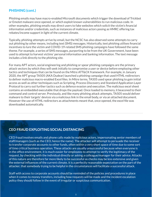#### **PHISHING (cont.)**

Phishing emails may have macro-enabled Microsoft documents which trigger the download of Trickbot or Emotet malware once opened, or which exploit known vulnerabilities to run malicious code. In other examples, phishing emails may direct users to fake websites which solicit the victim's financial information and/or credentials, such as instances of malicious actors posing as HMRC offering tax rebates/income support in light of the current climate.

Typically, phishing attempts arrive by email, but the NCSC has also observed some attempts to carry out phishing by other means, including text (SMS) messages. Historically, text phishing utilises financial incentives to lure the victim and COVID-19-related SMS phishing campaigns have followed the same theme. For example, a series of SMS messages, purporting to be from the UK Government, have been used to attempt to harvest victims' personal information and banking information. The text message includes a link directly to the phishing site.

For many APT actors, social engineering and phishing or spear phishing campaigns are the primary attack vectors by which they will seek initially to compromise a user or device before employing other tactics and techniques that can be found on the Mitre ATT&CK framework. For example, in January 2020, the APT group TA505 (AKA Dudear) launched a phishing campaign that used HTML redirectors to deliver malicious macro-enabled Excel files. In Mitre terms, TA505 used spear phishing to gain initial access as well as other techniques such as Scripting, Process Discovery and Standard Application Layer Protocol to carry out further tactics such as defence evasion and execution. The malicious excel sheet contains an embedded executable that drops the payload. Once loaded to memory, it beaconed to their command and control server. Previously, and like many phishing attack attempts, TA505 would deliver malware to their targets' devices via a malicious link in the email body, or via an attached document. However the use of HTML redirectors as attachments meant that, once opened, the excel file was downloaded automatically.

#### **CEO FRAUD EXPLOITING SOCIAL DISTANCING**

CEO fraud involves emails and phone calls made by malicious actors, impersonating senior members of staff/managers (such as the CEO, hence the name). The attacker will attempt to persuade the receiver to transfer corporate accounts to other funds, often within a very short space of time due to some sort of time critical business operation. These attacks are usually unsuccessful because when everyone is in the office environment, it is much easier for employees to attempt to verify the legitimacy of the request, by checking with the individual directly or asking a colleague/manager for their advice. Attacks of this nature are therefore far more likely to be successful as checks may be less extensive and given the external influences of the current climate, it is a perfectly reasonable expectation on the part of the attacker, that somebody trying to be helpful in the circumstances will facilitate a successful attack.

Staff with access to corporate accounts should be reminded of the policies and procedures in place when it comes to money transfers, including how requests will be made and the incident escalation policy they should follow in the event of irregular or suspicious communication.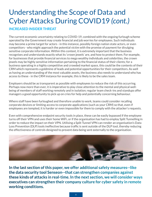### Understanding the Scope of Data and Cyber Attacks During COVID19 *(cont.)*

#### **INCREASED INSIDER THREAT**

The current economic uncertainty relating to COVID-19, combined with the ongoing furlough scheme operated by the Government may create financial and job worries for employees. Such individuals may become a prime target for actors - in this instance, possibly foreign nation state actors, or even competitors - who might approach the potential victim with the promise of payment for divulging sensitive corporate information. Within this context, it is extremely important that the business recognises and understands exactly what its 'crown jewels' are, and how to protect them. For example, for businesses that provide financial services to mega wealthy individuals and celebrities, the crown jewels may be highly sensitive information pertaining to the financial status of their clients; for a business operating in a highly competitive and crowded market space, this could be the contents of their CRM which represents a goldmine of leads and potential opportunities for their competitors. As well as having an understanding of the most valuable assets, the business also needs to understand who has access to these - in the CRM instance for example, this is likely to be the sales team.

Employers should be as transparent as possible with employees to reduce the risk of this occurring. Perhaps now more than ever, it is imperative to play close attention to the mental and physical wellbeing of members of staff working remotely and in isolation; regular team check-ins and standups offer managers a good opportunity to pick up on cries for help and potentially concerning behaviour.

Where staff have been furloughed and therefore unable to work, teams could consider recalling corporate devices or limiting access to corporate applications (such as your CRM) so that, even if employees are tempted, it is harder or even impossible for them to comply with the attacker's requests.

Even with comprehensive endpoint security tools in place, these can be easily bypassed if the employee turns off their VPN and uses their home WiFi, or if the organisation has had to employ Split Tunnelling in order to reduce the impact on their VPN. Utilising a Split Tunnel VPN can render an organisation's Data Loss Prevention (DLP) tools ineffective because traffic is sent outside of the DLP tool, thereby reducing the effectiveness of controls designed to prevent data being sent externally to the organisation.



**In the last section of this paper, we offer additional safety measures--like the data security tool Senseon--that can strengthen companies against these kinds of attacks in real-time. In the next section, we will consider ways executives can strengthen their company culture for cyber safety in remote working conditions.**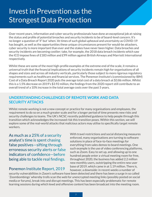### <span id="page-6-0"></span>Invest in Prevention as the Strongest Data Protection

Over recent years, information and cyber security professionals have done an exceptional job at raising the status and profile of potential breaches and security incidents to be of board-level concern. It's no longer a question of 'if' but 'when.' At times of such global upheaval and uncertainty as COVID-19 has bought, as well as the opportunities these unique circumstances present for would-be attackers, cyber security is more important than ever and the stakes have never been higher. Data breaches and security incidents are becoming costlier; take, for example, the 2018 data breach incidents which saw the ICO impose fines of £183 million and £99 million against British Airways and Marriott International respectively.

Whilst these are some of the most high-profile examples at the extreme end of the scale, it remains a universal truth that the financial implications of security incidents remain high for organisations of all shapes and sizes and across all industry verticals, particularly those subject to more rigorous regulatory requirements such as healthcare and financial services. The Ponemon Institute's (commissioned by IBM) Cost of a Data Breach Report 2020 puts the average total cost of a data breach at \$3.86 million. Whilst this is a 1.5% decrease on 2019's \$3.92 million, the findings from the 2020 report still contribute to an overall trend of a 10% increase in the total average costs over the past 5 years.

#### **UNDERSTANDING CHALLENGES OF REMOTE WORK AND DATA SECURITY ATTACKS**

Whilst remote working is not a new concept or practice for many organisations and employees, the requirement to do so on a much greater scale and for a longer period of time presents new risks and security challenges to teams. The UK's NCSC recently published guidance to help people through this transition which acknowledges the increased risk this transition poses. Within this section, we will explore some of the real-world attacks that malicious actors may utilise to specifically target remote workers.

As much as a 25% of a security analyst's time is spent chasing false positives—sifting through erroneous security alerts or false indicators of confidence—before being able to tackle real findings.

#### Ponemon Institute Report, 2019

With travel restrictions and social distancing measures enforced, many organisations are turning to software solutions in place of face-to-face meetings for everything from sales demos to board meetings. One such example is the use of video conferencing platforms, such as Zoom. Easy to set up, and allowing up to one hundred people enter a virtual meeting room for free, throughout 2020, the business has added 2.2 million new monthly users, outstripping the entire new user base of 2019, which came in at 1.19 million. There is, however, a downside: in recent weeks a number of

security vulnerabilities in Zoom's software have been detected and there has been a surge in so called 'Zoombombings' whereby trolls scan the web for unencrypted meeting links (possibly posted on social media or forums), break into and disrupt meetings. This has been especially problematic for remote learning sessions during which lewd and offensive content has been broadcast into the meeting room.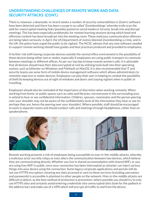#### **UNDERSTANDING CHALLENGES OF REMOTE WORK AND DATA SECURITY ATTACKS (CONT.)**

There is, however, a downside: in recent weeks a number of security vulnerabilities in Zoom's software have been detected and there has been a surge in so called 'Zoombombings' whereby trolls scan the web for unencrypted meeting links (possibly posted on social media or forums), break into and disrupt meetings. This has been especially problematic for remote learning sessions during which lewd and offensive content has been broadcast into the meeting room. These malicious communication offences are being taken seriously: in April, the US Department of Justice deemed Zoombombing a crime, and in the UK, the police have urged the public to be vigilant. The NCSC advises that any new software needed to support remote working should have guides and best practices produced and provided to employees.

A further risk with having corporate devices outside the normal office environment is the possibility of these devices being either lost or stolen, especially if employees are using public transport to commute between meetings or different offices. As per our top tips to keep remote workers safe, it is advisable that all devices should have their data encrypted at rest by utilising tools built into their operating system, such as bitlocker on Windows and FileVault on MacOS. It is also recommended that IT and security teams use some form of mobile device management software which allows administrators to remotely wipe lost or stolen devices. Employees can play their part in helping to combat the possibility of theft by keeping devices out of sight of windows and doors and staying vigilant when in public or travelling.

Employees should also be reminded of the importance of discretion when working remotely. When working from home, or public spaces such as cafes and libraries, not everyone in the surrounding area is vetted to hear or see confidential information. Children, spouses, roommates and the person peering over your shoulder may not be aware of the confidentiality level of the information they hear or see (or perhaps they are, hence the peering over your shoulder). Where possible, staff should be encouraged to work in separate rooms and should conduct calls and meetings through headphones, rather than on speakerphone.



Remote working presents a risk of employees being susceptible to man-in-the-middle attacks, whereby a malicious actor secretly relays or even alters the communication between two devices, which believe they are communicating directly. Whether you live in shared accommodation with shared WiFi, or you are using free WiFi in public, once your connection has been intercepted an attacker can inject various things into your device using the connection. Some legacy corporate applications and portals still do not use HTTPS encryption, meaning any data accessed or sent to these services (including usernames and passwords) is accessible in plaintext to other people on the network. Man-in-the-middle attacks are difficult to detect, so the best method of protection is prevention: where possible you should try to only use HTTPS sites and certainly avoid entering credentials into unencrypted sites (look for the padlock in the address bar) and make use of a VPN which will encrypt all traffic to and from the device.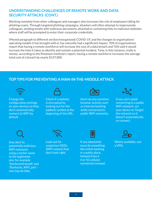#### **UNDERSTANDING CHALLENGES OF REMOTE WORK AND DATA SECURITY ATTACKS (CONT.)**

Working remotely from other colleagues and managers also increases the risk of employees falling for phishing scams. Through targeted phishing campaigns, attackers will often attempt to impersonate colleagues, sending emails with malicious documents attached or containing links to malicious websites where staff will be prompted to enter their corporate credentials.

(Moved paragraph to different section/reorganized) COVID-19, and the changes to organisations' operating models it has brought with it, has naturally had a significant impact. 70% of organisations report that having a remote workforce will increase the cost of a data breach and 76% said it would increase the time it takes to identify and contain a potential incident. Time, in this instance, really is money: according to the Ponemon Institute's report, having a remote workforce increases the average total cost of a breach by nearly \$137,000.

#### **TOP TIPS FOR PREVENTING A MAN-IN-THE-MIDDLE ATTACK**



Change the configuration settings on your devices so they don't automatically connect to WiFi by default



Check if a website is encrypted by looking out for the padlock symbol at the beginning of the URL.



Don't do any sensitive browser activity such as Internet banking while connected to public WiFi networks.



If you can't avoid connecting to a public WiFi network, set your device to 'forget' the network so it doesn't automatically re-connect.



Stay alert to potentially malicious WiFi networks using a similar name to the legitimate one, for example 'Starbucksfreewifi' and 'Starbucks\_WiFi\_join' one may be fake.



Look out for suspicious SSIDs (WiFi names) that don't look right.



If you absolutely must do something like online banking in a public place, hotspot from a 4 or 5G cellular connection instead.



Where available, use a VPN.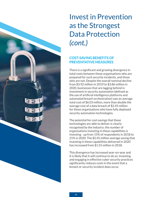### Invest in Prevention as the Strongest Data Protection *(cont.)*

#### **COST-SAVING BENEFITS OF PREVENTATIVE MEASURES**

There is a significant and growing divergence in total costs between those organisations who are prepared for such security incidents, and those who are not. Despite the overall nominal decline from \$3.92 million in 2019 to \$3.86 million in 2020, businesses that are lagging behind in investment in security automation (defined as the use of artificial intelligence platforms and automated breach orchestration) saw an average total cost of \$6.03 million, more than double the average cost of a data breach of \$2.45 million for those organisations who have fully deployed security automation technologies.

The potential for cost savings that these technologies are able to deliver is clearly recognised by the industry; the number of organisations investing in these capabilities is investing - up from 15% of respondents in 2018 to 21% in 2020. The \$2.45 million average saving that investing in these capabilities delivered in 2020 has increased from \$1.55 million in 2018.

This divergence has increased year-on-year and it is likely that it will continue to do so. Investing and engaging in effective cyber security practices significantly reduces costs in the event that a breach or security incident does occur.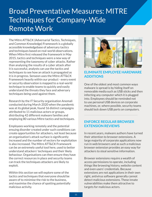### <span id="page-10-0"></span>Broad Preventative Measures: MITRE Techniques for Company-Wide Remote Work

The Mitre ATT&CK (Adversarial Tactics, Techniques, and Common Knowledge) Framework is a globally accessible knowledgebase of adversary tactics and techniques based on real-world observations. When Mitre first released the framework in May 2015, tactics and techniques were a new way of representing the taxonomy of cyber attacks. Rather than analysing the results of a cyber attack after it is successful, analysts can use the tactics and techniques to see how an attack is propagated as it is in progress. Senseon uses the Mitre ATT&CK Framework heavily within our product - every event or security observation is mapped to a real-world technique to enable teams to quickly and easily understand the threats they face and adversary techniques being used against them.

Research by the IT Security organisation Anomali conducted during March 2020 when the pandemic was at its global peak, found 16 distinct campaigns attributed to 11 malicious actors or groups, distributing 42 different malware families and employing 80 various Mitre tactics and techniques.

Employees working remotely and the potential ensuing disorder created under such conditions can create opportunities for attackers, not least because an organisation's attack surface is significantly increased and the number of vectors for exploitation is also increased. The Mitre ATT&CK Framework can be an extremely useful tool here, used to better understand attackers' techniques and their likely behaviour. Organisations can then ensure they have the correct resources in place and security teams can track the techniques attackers are likely to exploit.

Within this section we will explore some of the tactics and techniques that everyone should be aware of to minimise the risk to the business, and maximise the chance of spotting potentially malicious activity.



#### **ELIMINATE EMPLOYEE HARDWARE ADDITIONS**

One of the oldest and most common ways malware is spread is by hiding itself on removable media such as USB sticks and then infecting any computer which it is plugged into. Employees should be reminded not to use personal USB devices on corporate machines, or, where possible, security teams should lock down USB ports on computers.

#### **ENFORCE REGULAR BROWSER EXTENSION REVIEWS**

In recent years, malware authors have turned their attention to browser extensions. A large majority of corporate applications now run in web browsers and as such a malicious browser extension provides an easy way for attackers to steal sensitive information.

Browser extensions require a wealth of access permissions to operate, including things like browsing history, website content and even users' credentials. Because extensions are not applications in their own right, antivirus software generally cannot detect malicious extensions. These innate vulnerabilities make them attractive to targets for malicious actors.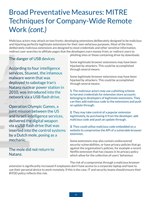### Broad Preventative Measures: MITRE Techniques for Company-Wide Remote Work *(cont.)*

Malicious actors may attack on two fronts: developing extensions deliberately designed to be malicious and hijacking perfectly legitimate extensions for their own nefarious purposes. Most of the time, deliberately malicious extensions are designed to steal credentials and other sensitive information, redirect user searches to affiliate pages that the developers earn money from; or redirect users to

#### The danger of USB devices

According to four intelligence services, Stuxnet, the infamous malware worm that was deployed to sabotage Iran's Natanz nuclear power station in 2010, was introduced into the network via a USB flash drive.

Operation Olympic Games, a joint mission between the US and Israeli intelligence services, delivered the digital weapon via a USB flash drive that was inserted into the control systems by a Dutch mole, posing as a mechanic.

#### The mole did not return to Natanz.

phishing sites or those containing drive-by downloads.

Some legitimate browser extensions may have been hijacked by attackers. This could be accomplished through several means:

Some legitimate browser extensions may have been hijacked by attackers. This could be accomplished through several means:

**1.** The malicious actors may use a phishing scheme to harvest credentials for extension store accounts belonging to developers of legitimate extensions. They can then add malicious code to the extensions and push an update through.

**2.** They may take control of a popular extension legitimately, by purchasing it from the developer, add malicious code and push an update through.

**3.** They could utilise malicious code embedded on a website to compromise the API of a vulnerable browser extension.

Some extensions may also contain undiscovered security vulnerabilities, or have privacy policies that go against the organisation's policies, for example a recent Netflix extension that has clauses in its privacy policy which allow for the collection of users' behaviour.

The risk of a compromise through a malicious browser

extension is significantly increased if employees don't have access to a corporate laptop and have to use their personal device to work remotely. If this is the case, IT and security teams should ensure their BYOD policy reflects this risk.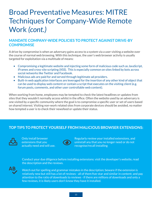### Broad Preventative Measures: MITRE Techniques for Company-Wide Remote Work *(cont.)*

#### **MANDATE COMPANY-WIDE POLICIES TO PROTECT AGAINST DRIVE-BY COMPROMISE**

A drive-by compromise is when an adversary gains access to a system via a user visiting a website over the course of normal web browsing. With this technique, the user's web browser activity is usually targeted for exploitation via a multitude of means:

- Compromising a legitimate website and injecting some form of malicious code such as JavaScript, iFrames and cross-site scripting (XSS). This is especially common on sites linked by bots across social networks like Twitter and Facebook.
- Malicious ads are paid for and served through legitimate ad providers.
- Built-in web application interfaces are leveraged for the insertion of any other kind of object that can be used to display web content or contain a script that executes on the visiting client (e.g. forum posts, comments, and other user controllable web content).

When working from home, employees may be tempted to check the latest headlines or updates from sites that they wouldn't normally access whilst in the office. Often the website used by an adversary is one visited by a specific community where the goal is to compromise a specific user or set of users based on shared interest. Visiting non-work related sites from corporate devices should be avoided, no matter how tempted a user is to check their newsfeed or update their status.

#### **TOP TIPS TO PROTECT YOURSELF FROM MALICIOUS BROWSER EXTENSIONS:**



Only install browser extensions that you actually need and will use. **download School School School School School School School School School School School School School School School**<br>actually need and will use



Regularly review your installed extensions, and uninstall any that you no longer need or do not recognise/recall installing

Conduct your due diligence before installing extensions: visit the developer's website, read the description and the reviews.

AB

Watch out for spelling and grammar mistakes in the description; beware if the extension is relatively new but still has a lot of reviews - all of them five-star and similar in content; and pay attention to the ratio of downloads to reviews - if there are millions of downloads and only a few reviews, it is likely users don't know they have it installed.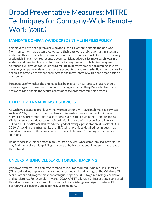### Broad Preventative Measures: MITRE Techniques for Company-Wide Remote Work *(cont.)*

#### **MANDATE COMPANY-WIDE CREDENTIALS IN FILES POLICY**

f employees have been given a new device such as a laptop to enable them to work from home, they may be tempted to store their password and credentials in a text file and email this to themselves or, worse, store them on an easily lost USB device. Storing credentials in plaintext represents a security risk as adversaries may search local file systems and remote file shares for files containing passwords. Attackers may use advanced exploitation tools such as Mimikatz to perform credential dumping. If users have recycled passwords across multiple accounts, the same credentials could be used to enable the attacker to expand their access and move laterally within the organisation's environment.

Irrespective of whether the employee has been given a new laptop, all users should be encouraged to make use of password managers such as KeepPass, which encrypt passwords and enable the secure access of passwords from multiple devices.

#### **UTILIZE EXTERNAL REMOTE SERVICES**

As we have discussed previously, many organisations will have implemented services such as VPNs, Citrix and other mechanisms to enable users to connect to internal network resources from external locations, such as their own home. Remote access VPNs can serve as a devastating point of initial compromise. According to Patrick Sullivan, CTO of Akamai, this trend emerged following a presentation at Blackhat USA 2019, 'Attacking the intranet like the NSA', which provided detailed techniques that would later allow for the compromise of many of the world's leading remote access solutions.

Remote access VPNs are often highly trusted devices. Once compromised, adversaries may find themselves with privileged access to highly confidential and sensitive areas of the network.

#### **UNDERSTANDING DLL SEARCH ORDER HIJACKING**

Windows systems use a common method to look for required Dynamic Link Libraries (DLLs) to load into a program. Malicious actors may take advantage of the Windows DLL search order and programmes that ambiguous specify DLLs to gain privilege escalation and persistence. For example, in March 2020, APT17, a known Chineses state sponsored threat actor used a malicious RTF file as part of a phishing campaign to perform DLL Search Order Hijacking and load the DLL to memory.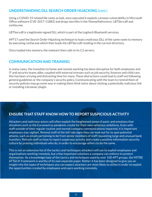#### **UNDERSTANDING DLL SEARCH ORDER HIJACKING** *(cont.)*

Using a COVID-19 related file name as bait, once executed it exploits a known vulnerability in Microsoft Office software (CVE-2017-11882) and drops two files in the %temp%directory: LBTServ.dll and confax.exe.

LBTServ.dll is a legitimate signed DLL which is part of the Logitech Bluetooth services.

APT17 used the Search Order Hijacking technique to load a malicious DLL of the same name to memory by executing confax.exe which then loads the LBTServ.dll residing in the current directory.

Once loaded into memory, the malware then calls to its C2 servers.

#### **COMMUNICATION AND TRAINING**

In many cases, the transition to home and remote working has been disruptive for both employees and IT and security teams alike; coupled with external stresses such as job security, finances and child care, this has been a trying and distracting time for many. These distractions could lead to staff not following general guidelines or the company's security policy. Communicating with the team to remind them of security policies may go some way in making them think twice about clicking a potentially malicious link or installing a browser plugin.

#### **ENSURE THAT STAFF KNOW HOW TO REPORT SUSPICIOUS ACTIVITY**

Attackers and malicious actors will often exploit the heightened sense of panic and emotions that situations such as the Coronavirus pandemic create for their own nefarious ambitions. Even with staff outside of their regular routine and normal company communications impacted, it is important employees stay vigilant. Remind staff of the tell-tale signs they can look out for to spot potential attacks, such as emails pertaining to be from senior members of staff requesting large and unusual bank transfers. Refresh staff on how to report suspicious activity and create a positive information security culture by praising individuals who do, in order to encourage others to do the same.

This is not an extensive list of the tactics and techniques attackers will use to exploit employees and organisations working remotely, but a few important solutions a company can enforce to protect themselves. As a knowledge base of the tactics and techniques used by over 100 APT groups, the MITRE ATT&CK framework is worthy of its own separate paper. Rather it has been designed to give you an insight into the types of techniques you can expect attackers are most likely to utilise in order to exploit the opportunities created by employees and users working remotely.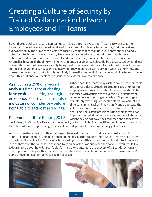### <span id="page-15-0"></span>Creating a Culture of Security by Trained Collaboration between Employees and IT Teams

Beyond broad policy measurs, companies can also train employees and IT teams to work together for more targeted prevention. At an already busy time, IT and security teams may find themselves overwhelmed by the number of alerts produced by tools that rely on unusual behaviour or anomaly detection. Such tools have a tendency to over-alert because they cannot differentiate between behaviour that is simply new and unusual, and that which is genuinely interesting and malicious. Anomalies happen all the time within environments, a problem which could be exacerbated by hundreds or even thousands of devices suddenly being used from new locations and at different times of the day, so the challenge for security teams comes when they need to discern between what is simply new and unusual behaviour and that which is genuinely interesting and malicious. If you would like to learn more about this challenge, we explore the issue in more detail in our Whitepaper.

As much as a 25% of a security analyst's time is spent chasing false positives—sifting through erroneous security alerts or false indicators of confidence—before being able to tackle real findings.

#### Where possible, teams may wish to configure their tools to suppress alerts directly related to a large number of employees working remotely. However, this should be exercised with caution to avoid the risk of important or genuine alerts getting filtered out. Suppressing or completely switching off specific alerts is a manual and time consuming task and may significantly decrease the value for money that teams receive from the tools they are using. Security professionals find themselves at an impasse: overwhelmed with a huge number of alerts for which they do not have the resources and capacity to

#### Ponemon Institute Report, 2019

work through. Whilst it is likely that the majority of these will be false positives and innocent anomalies, the inherent risk of suppressing these alerts is that genuinely malicious activity gets missed.

Another possible solution to this challenge is to invest in a platform that is able to automate the initial qualification and disqualification of anomalies in order to determine which is worthy of further analysis and investigation. This avoids bombarding teams with vast swathes of threat intelligence and means they have the capacity to respond to genuine attacks as and when they occur If you would like to learn more about how Senseon's platform is able to automate the process of threat detection and investigation to mitigate this risk, you may be interested to watch our demo here: http://senseon.io/ demo or even take a test-drive to see for yourself.



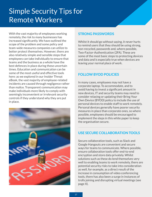### <span id="page-16-0"></span>Simple Security Tips for Remote Workers

With the vast majority of employees working remotely, the risk to many businesses has increased significantly. We have outlined the scope of the problem and some policy and team-wide measures companies can utilize to better protect themselves. However, there are also relatively simple and sensible steps that employees can take individually to ensure that teams and the business as a whole have the best defences in place during these uncertain times. Education and communication can be some of the most useful and effective tools here: as we explored in our Insider Threat eBook, the vast majority of employee-related incidents are caused through negligence rather than malice. Transparent communication may make individuals more likely to comply with seemingly inconvenient or irrelevant security controls if they understand why they are put in place.



#### **STRONG PASSWORDS**

Whilst it should go without saying, it never hurts to remind users that they should be using strong, non-recycled, passwords and, where possible, Two-Factor-Authentication (2FA). These are some of the most basic steps to protecting devices and data and is especially true when devices are leaving your normal place of work.

#### **FOLLOW BYOD POLICIES**

In many cases, employees may not have a corporate laptop. To accommodate, and to avoid having to invest a significant amount in new devices, IT and security teams may need to consider relaxing or updating their Bring Your Own Device (BYOD) policy to include the use of personal devices to enable staff to work remotely. Personal devices generally have poorer security measures in place than corporate ones, so where possible, employees should be encouraged to implement the steps in this white paper to keep the organisation secure.

#### **USE SECURE COLLABORATION TOOLS**

Secure collaboration tools, such as Slack and Google Hangouts are convenient and secure ways for teams to communicate. Where possible, ensure collaboration tools offer end-to-end encryption and store data privately. Whilst solutions such as these do lend themselves very well to enabling teams to work remotely, there are potential security risks to take into consideration as well, for example, as a direct result of the increase in consumption of video conferencing tools, there has also been a surge in instances of trolls joining and disrupting virtual meetings (see page X).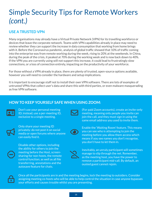### Simple Security Tips for Remote Workers *(cont.)*

#### **USE A TRUSTED VPN**

Many organisations may already have a Virtual Private Network (VPN) for its travelling workforce or devices that leave the corporate network. Teams with VPN capabilities already in place may need to review whether they can support the increase in data consumption that working from home brings with it. Before the Coronavirus pandemic, analysis of global traffic showed that 10% of traffic coming into the enterprise was from remote working during the week, rising to 20% at the weekends. In China, during the peak of the crisis, it peaked at 70% during the working week and is now back down to 40%. If the VPN you are currently using will not support this increase, it could lead to frustratingly slow connections, or a loss of connection entirely, impacting on the productivity of your workforce.

For those without a VPN already in place, there are plenty of trusted, open-source options available, however you will need to consider the hardware and setup implications.

It is important to encourage staff not to install their own VPN software. There are lots of examples of untrusted VPNs that collect user's data and share this with third parties, or even malware masquerading as free VPN software.

#### **HOW TO KEEP YOURSELF SAFE WHEN USING ZOOM:**



Don't use your personal meeting ID; instead, use a per-meeting ID, exclusive to a single meeting.



Only share your meeting ID privately: do not post it on social media or open forums where anyone can easily find it.



Disable other options, including the ability for others to join the meeting before the Host, screensharing for non-hosts, the remote control function; as well as all file transferring, annotations and the autosave feature for chats.



(For paid Zoom accounts), create an invite-only meeting, meaning only people you invite can join the call, and they must sign in using the same email address you used to invite them.



Enable the 'Waiting Room' feature. This means you can see who is attempting to join the meeting before you allow them access which means if you see names you don't recognise, you don't have to let them in.



Inevitably, an unruly participant will sometimes manage to slip through the net. Remember, as the meeting host, you have the power to remove a participant mid-call. By default, an ousted guest cannot rejoin.



Once all the participants are in and the meeting begins, lock the meeting to outsiders. Consider assigning meeting co-hosts who will be able to help control the situation in case anyone bypasses your efforts and causes trouble whilst you are presenting.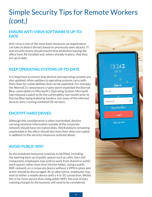### Simple Security Tips for Remote Workers *(cont.)*

#### **ENSURE ANTI-VIRUS SOFTWARE IS UP-TO-DATE**

Anti-virus is one of the most basic measures an organisation can take to detect threats based on previously seen attacks. IT and security teams should ensure that all devices leaving the office have AV installed and, where already in place, that they are up to date.

#### **KEEP OPERATING SYSTEMS UP-TO-DATE**

It is important to ensure that devices and operating systems are also updated; often updates to operating systems carry with them fixes for vulnerabilities that can be exploited. For example, the WannaCry ransomware crypto-worm exploited the Eternal Blue vulnerability in Microsoft's Operating System. Microsoft had released a patch to fix the vulnerability one month prior to Eternal Blue being leaked by hackers, but many of the infected devices were running outdated OS versions.

#### **ENCRYPT HARD DRIVES**

Although this consideration is often overlooked, devices carrying sensitive information outside of the corporate network should have encrypted disks. Workstations remaining unattended in the office should also have their disks encrypted, in addition to the security measures outlined above.

#### **AVOID PUBLIC WIFI**

As the lockdown measures continue to be lifted, including the opening back up of public spaces such as cafes, bars and restaurants, employees may wish to work from shared or public work spaces rather than their kitchen tables. Using a public WiFi network on a corporate device without a VPN in place and active should be discouraged. As an alternative, employees may wish to tether a mobile device with a 4 or 5G connection. Whilst this is far more secure than using public WiFi, the cost of data roaming charges to the business will need to be considered.

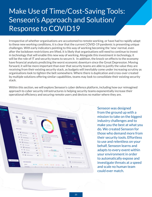### <span id="page-19-0"></span>Make Use of Time/Cost-Saving Tools: Senseon's Approach and Solution/ Response to COVID19

Irrespective of whether organisations are accustomed to remote working, or have had to rapidly adapt to these new working conditions, it is clear that the current COVID-19 pandemic is presenting unique challenges. With early indicators pointing to this way of working becoming the 'new' normal, even after the lockdown restrictions are lifted, it is likely that organisations will need to continue to invest in technology that will enable this new way of working. Alongside this investment in technology, it will be the role of IT and security teams to secure it. In addition, the knock-on effects to the economy have financial analysts predicting the worst economic downturn since the Great Depression. Moving forward, it will be more important than ever that security teams are able to justify the value they are receiving from their existing security stack, as budgets will inevitably come under increasing scrutiny as organisations look to tighten the belt somewhere. Where there is duplication and cross-over created by multiple solutions offering similar capabilities, teams may look to consolidate their existing security stack.

Within this section, we will explore Senseon's cyber defence platform, including how our reimagined approach to cyber security infrastructures is helping security teams exponentially increase their operational efficiency and securing remote users and devices no matter where they are.



Senseon was designed from the ground up with a mission to take on the biggest industry challenges and to make you the best at what you do. We created Senseon for those who demand more from their security tools. Effortless to use and relentless on your behalf, Senseon learns and adapts to every event within your environment in order to automatically expose and investigate threats at a speed and scale no human team could ever match.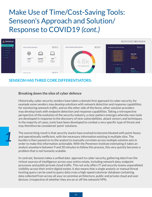### Make Use of Time/Cost-Saving Tools: Senseon's Approach and Solution/ Response to COVID19 *(cont.)*



#### **SENSEON HAS THREE CORE DIFFERENTIATORS:**

#### **Breaking down the silos of cyber defence**

*1*

Historically, cyber security vendors have taken a domain first approach to cyber security, for example some vendors may develop solutions with network detection and response capabilities for monitoring network traffic; and on the other side of the fence, other solution providers may develop tools with endpoint detection and response capabilities. Taking a retrospective perspective of the evolution of the security industry, a clear pattern emerges whereby new tools are developed in response to the discovery of new vulnerabilities, attack vectors and techniques. In the majority of cases, tools have been developed to combat a very specific type of threat and may therefore be considered 'point' solutions.

The overarching result is that security stacks have evolved to become bloated with point-heavy and operationally inefficient, with the necessary information existing in multiple silos. The burden is then passed on to the analyst to manually correlate across multiple solution sets in order to make this information actionable. With the Ponemon Institute estimating it takes an analyst anywhere between 9 and 50 minutes to follow this process, this very quickly becomes a problem that is not humanly scalable.

In contrast, Senseon takes a unified data approach to cyber security, gathering data from the richest sources of intelligence across your entire estate, including network data, endpoint processes and public/private cloud traffic. This not only offers IT and security teams unparalleled visibility across their entire digital estate, it also means that a single analytic or manual threat hunting query can be used to query data cross a high-speed columnar database containing data collected from across all your on-premise architecture, public and private cloud and user devices, irrespective of whether they are on or off the network/VPN.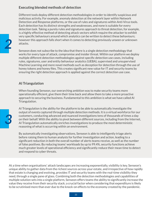#### **Executing blended methods of detection**

Different tools deploy different detection methodologies in order to identify suspicious and malicious activity. For example, anomaly detection at the network layer within Network Detection and Response platforms, or the use of rules and signatures within Anti-Virus tools. Each detection has its distinct strengths and weaknesses, and none is suitable for every detection task. Taking a purely rules and signatures approach to threat detection, for example, is a highly effective method of detecting attack vectors which require the attacker to exhibit very specific behaviours around which analytics can be written to detect these behaviours; however this approach falls short when it comes to detecting previously unseen or unknown attacks.

Senseon does not subscribe to the idea that there is a single detection methodology that works for every type of attack, compromise and insider threat. Within our platform we deploy multiple different detection methodologies against specific detection use cases, including rules, signatures, user and entity behaviour analytics (UEBA), supervised and unsupervised Machine Learning and more novel methods such as deception for detection through the use of honey tokens and honey files. This creates significant new value for IT and security teams by ensuring the right detection approach is applied against the correct detection use case.

#### **AI Triangulation**

When founding Senseon, our overarching ambition was to make security teams more operationally efficient, give them their time back and allow them to take a more proactive approach to securing the business. Fundamental to this ambition is what we have called AI Triangulation.

AI Triangulation is the ability for the platform to be able to automatically investigate the output of events captured through multiple detection methods. It is a virtual workforce for our customers, conducting advanced and nuanced investigations tens of thousands of times a day on their behalf. With the ability to pivot between different sources, including from the Internet, AI Triangulation automatically enriches investigations to produce the most deterministic reasoning of what is occurring within an environment.

By automatically investigating observations, Senseon is able to intelligently triage alerts before raising them to human analysts for further investigation and action, leading to a significant reduction in both the overall number of alerts teams receive, as well as the number of false positives. By reducing teams' workloads by up to 99.4%, security functions achieve much greater levels of operational efficiency and significantly reduce their mean time to detect and respond to cyber threats.

At a time when organisations' attack landscapes are increasing exponentially, visibility is key. Senseon's unique ability to gather data from the richest sources across your estate, and irrespective of how rapidly that estate is changing and evolving, provides IT and security teams with the real-time visibility they need, through a single pane of glass. Combining both the detection methodologies and capabilities of multiple solution sets into a single platform, Senseon offers teams the ability to significantly increase the value they receive from their security stack; a crucial factor when considering that expenditure is likely to be scrutinised more than ever due to the knock-on effects to the economy created by the pandemic.

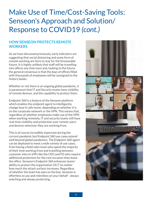### Make Use of Time/Cost-Saving Tools: Senseon's Approach and Solution/ Response to COVID19 *(cont.)*

#### **HOW SENSEON PROTECTS REMOTE WORKERS**

As we have discussed previously, early indicators are suggesting that social distancing and some form of remote working are here to stay for the foreseeable future. It is highly unlikely that staff will be travelling into offices any time soon and, looking to the future, the general consensus is that the days of offices filled with thousands of employees will be consigned to the history books.

Whether or not there is an ongoing global pandemic, it is paramount that IT and Security teams have visibility of remote devices, and the capability to protect them.

Endpoint 360 is a feature of the Senseon platform which enables the endpoint agent to intelligently change how it calls home, depending on whether it is on the corporate network or the VPN. This means that, regardless of whether employees make use of the VPN when working remotely, IT and security teams still have real-time visibility and protection over remote users and devices wherever they are working from.

This is of course incredibly important during the current pandemic but Endpoint 360 use cases extend well beyond global pandemics. The Endpoint 360 agent can be deployed to meet a wide variety of use cases, from having a field sales team who spend the majority of their time working from and travelling between customer sites to VIPs like the CEO and FD who require additional protection for the rare occasion they leave the office. Senseon's Endpoint 360 enhances teams' ability to protect the organisation 24/7 no matter how much the attack surface increases. Regardless of whether the team has eyes on the box, Senseon is effortless to use and relentless on your behalf - always watching and always protecting.

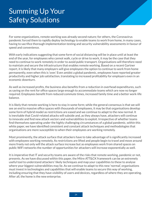### <span id="page-23-0"></span>Summing Up Your Safety Solutions

For some organizations, remote working was already second nature; for others, the Coronavirus pandemic forced them to rapidly deploy technology to enable teams to work from home, in many cases, having to sacrifice thorough implementation testing and security vulnerability assessments in favour of speed and convenience.

With early indications suggesting that some form of social distancing will be in place until at least the end of the year, for employees who cannot walk, cycle or drive to work, it may be the case that they need to continue to work remotely in order to avoid public transport. Organisations will therefore need to maintain and secure the infrastructure that enables remote working. Based on a recent Gartner report, it is likely that many employers will give employees the option to continue to work from home permanently, even when this is 'over.' Even amidst a global pandemic, employees have reported greater productivity and higher job satisfaction, translating to increased profitability for employers even in an economic downturn.

As well as increased profits, the business also benefits from a reduction in overhead expenditures, such as saving on the rent for office spaces large enough to accommodate teams which are now no longer required. Employees benefit from reduced commute times, increased family time and a better work-life balance.

It is likely that remote working is here to stay in some form; while the general consensus is that we will see an end to massive office spaces with thousands of employees, it may be that organisations develop some form of hybrid model as restrictions are eased and we continue to adapt to the new normal. It is inevitable that Covid-related attacks will subside and, as they always have, attackers will continue to innovate and find new attack vectors and vulnerabilities to exploit. Irrespective of whether teams find themselves operating under the highly challenging circumstances of a global pandemic, within this white paper, we have identified consistent and constant attack techniques and methodologies that organisations are more susceptible to when their employees are working remotely.

Most prominently, the attack surface that attackers have to take advantage of is significantly increased with employees working remotely. As restrictions are lifted and people begin to travel and move around more freely not only will the attack surface increase but as employees work from shared spaces on public WiFi networks the number of opportunities for attackers will increase exponentially as well.

It is imperative that IT and security teams are aware of the risks that remote working, pandemic or not, presents. As we have discussed within this paper, the Mitre ATT&CK framework can be an extremely useful tool to understand attackers' likely techniques and map your capabilities to these to analyse where your biggest vulnerabilities may lie. As we continue to adapt to this new 'normal', organisations must invest in technologies and capabilities that will enable teams to secure this way of working, including ensuring that they have visibility of users and devices, regardless of where they are operating. After all, the home is the new enterprise.